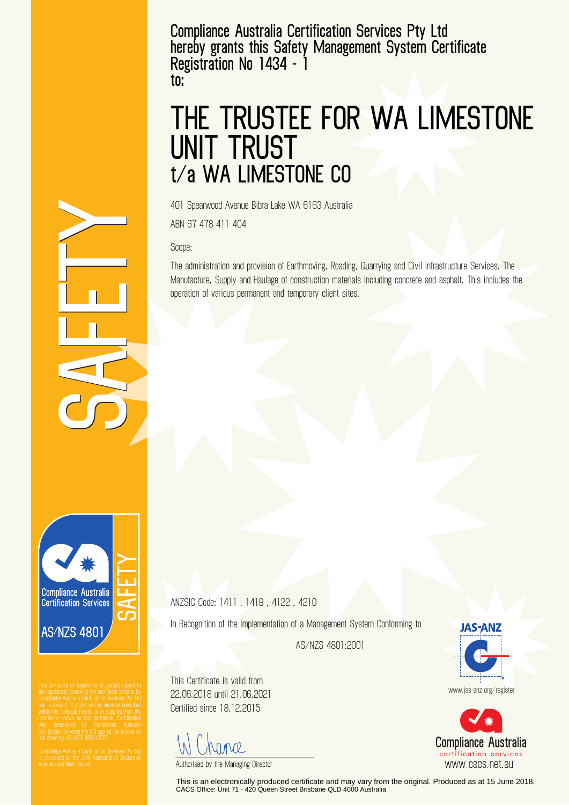**Compliance Australia Certification Services Pty Ltd hereby grants this Safety Management System Certificate Registration No 1434 - 1 to:**

## **THE TRUSTEE FOR WA LIMESTONE UNIT TRUST t/a WA LIMESTONE CO**

401 Spearwood Avenue Bibra Lake WA 6163 Australia

ABN 67 478 411 404

Scope:

The administration and provision of Earthmoving, Roading, Quarrying and Civil Infrastructure Services. The Manufacture, Supply and Haulage of construction materials including concrete and asphalt. This includes the operation of various permanent and temporary client sites.

**Compliance Australia Certification Services AS/NZS 4801** 

ANZSIC Code: 1411 . 1419 , 4122 , 4210

In Recognition of the Implementation of a Management System Conforming to

AS/NZS 4801:2001

This Certificate is valid from 22.06.2018 until 21.06.2021 Certified since 18.12.2015

hance

Authorised by the Managing Director

This is an electronically produced certificate and may vary from the original. Produced as at 15 June 2018. CACS Office: Unit 71 - 420 Queen Street Brisbane QLD 4000 Australia



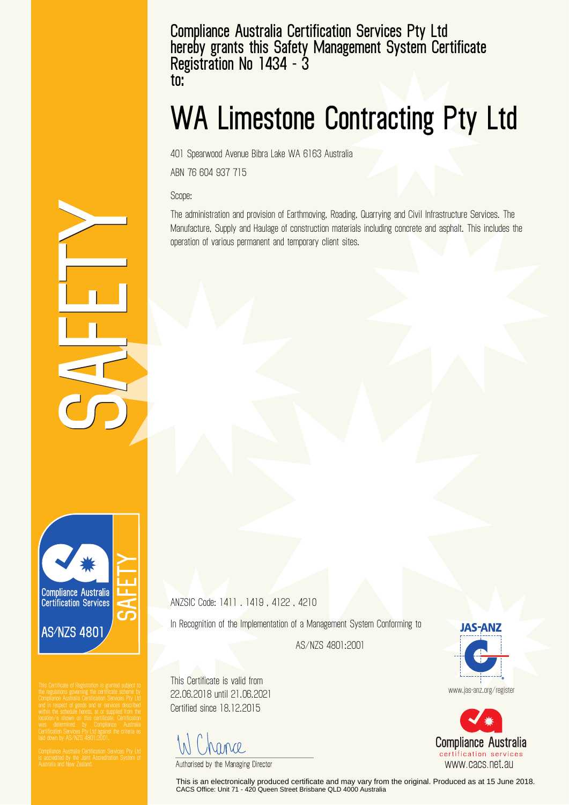**Compliance Australia Certification Services Pty Ltd hereby grants this Safety Management System Certificate Registration No 1434 - 3 to:**

## **WA Limestone Contracting Pty Ltd**

401 Spearwood Avenue Bibra Lake WA 6163 Australia

ABN 76 604 937 715

Scope:

The administration and provision of Earthmoving, Roading, Quarrying and Civil Infrastructure Services. The Manufacture, Supply and Haulage of construction materials including concrete and asphalt. This includes the operation of various permanent and temporary client sites.

**Compliance Australia Certification Services AS/NZS 4801** 

ANZSIC Code: 1411 . 1419 , 4122 , 4210

In Recognition of the Implementation of a Management System Conforming to

AS/NZS 4801:2001

This Certificate is valid from 22.06.2018 until 21.06.2021 Certified since 18.12.2015

Monde

Authorised by the Managing Director

This is an electronically produced certificate and may vary from the original. Produced as at 15 June 2018. CACS Office: Unit 71 - 420 Queen Street Brisbane QLD 4000 Australia

**JAS-ANZ** 

www.jas-anz.org/register



certification services www.cacs.net.au